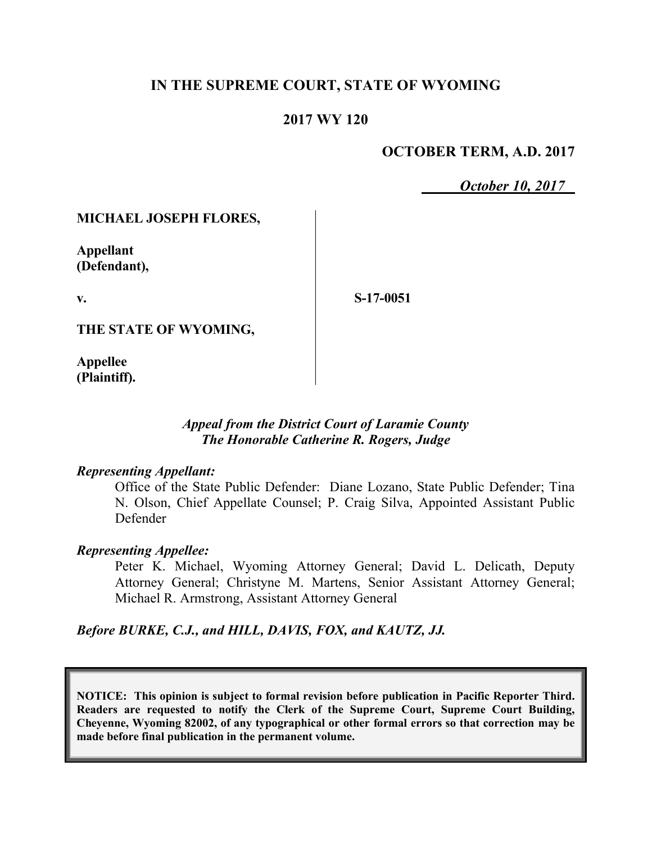## **IN THE SUPREME COURT, STATE OF WYOMING**

## **2017 WY 120**

## **OCTOBER TERM, A.D. 2017**

*October 10, 2017*

### **MICHAEL JOSEPH FLORES,**

**Appellant (Defendant),**

**v.**

**S-17-0051**

**THE STATE OF WYOMING,**

**Appellee (Plaintiff).**

### *Appeal from the District Court of Laramie County The Honorable Catherine R. Rogers, Judge*

#### *Representing Appellant:*

Office of the State Public Defender: Diane Lozano, State Public Defender; Tina N. Olson, Chief Appellate Counsel; P. Craig Silva, Appointed Assistant Public Defender

#### *Representing Appellee:*

Peter K. Michael, Wyoming Attorney General; David L. Delicath, Deputy Attorney General; Christyne M. Martens, Senior Assistant Attorney General; Michael R. Armstrong, Assistant Attorney General

*Before BURKE, C.J., and HILL, DAVIS, FOX, and KAUTZ, JJ.*

**NOTICE: This opinion is subject to formal revision before publication in Pacific Reporter Third. Readers are requested to notify the Clerk of the Supreme Court, Supreme Court Building, Cheyenne, Wyoming 82002, of any typographical or other formal errors so that correction may be made before final publication in the permanent volume.**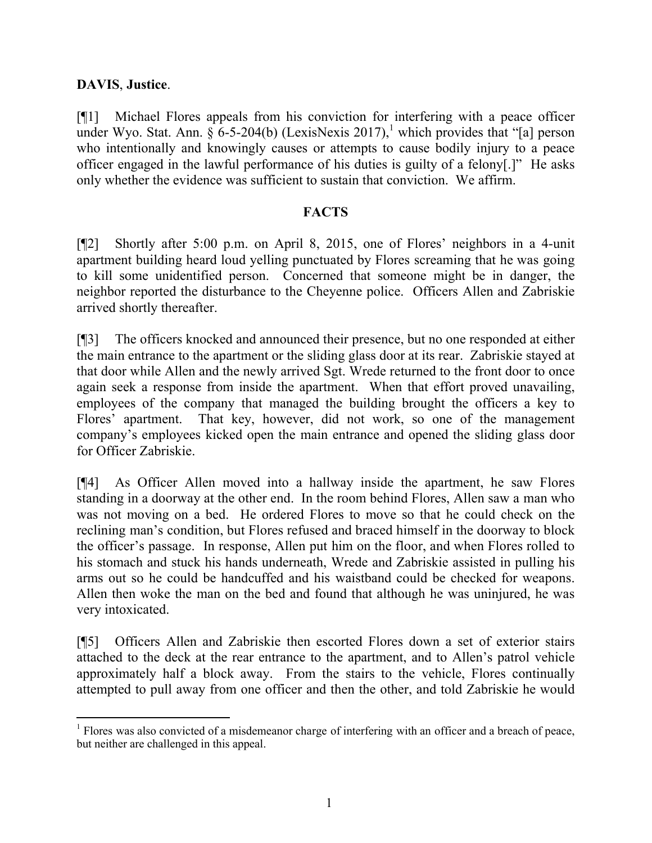## **DAVIS**, **Justice**.

l

[¶1] Michael Flores appeals from his conviction for interfering with a peace officer under Wyo. Stat. Ann.  $\hat{\S}$  6-5-204(b) (LexisNexis 2017),<sup>1</sup> which provides that "[a] person who intentionally and knowingly causes or attempts to cause bodily injury to a peace officer engaged in the lawful performance of his duties is guilty of a felony[.]" He asks only whether the evidence was sufficient to sustain that conviction. We affirm.

## **FACTS**

[¶2] Shortly after 5:00 p.m. on April 8, 2015, one of Flores' neighbors in a 4-unit apartment building heard loud yelling punctuated by Flores screaming that he was going to kill some unidentified person. Concerned that someone might be in danger, the neighbor reported the disturbance to the Cheyenne police. Officers Allen and Zabriskie arrived shortly thereafter.

[¶3] The officers knocked and announced their presence, but no one responded at either the main entrance to the apartment or the sliding glass door at its rear. Zabriskie stayed at that door while Allen and the newly arrived Sgt. Wrede returned to the front door to once again seek a response from inside the apartment. When that effort proved unavailing, employees of the company that managed the building brought the officers a key to Flores' apartment. That key, however, did not work, so one of the management company's employees kicked open the main entrance and opened the sliding glass door for Officer Zabriskie.

[¶4] As Officer Allen moved into a hallway inside the apartment, he saw Flores standing in a doorway at the other end. In the room behind Flores, Allen saw a man who was not moving on a bed. He ordered Flores to move so that he could check on the reclining man's condition, but Flores refused and braced himself in the doorway to block the officer's passage. In response, Allen put him on the floor, and when Flores rolled to his stomach and stuck his hands underneath, Wrede and Zabriskie assisted in pulling his arms out so he could be handcuffed and his waistband could be checked for weapons. Allen then woke the man on the bed and found that although he was uninjured, he was very intoxicated.

[¶5] Officers Allen and Zabriskie then escorted Flores down a set of exterior stairs attached to the deck at the rear entrance to the apartment, and to Allen's patrol vehicle approximately half a block away. From the stairs to the vehicle, Flores continually attempted to pull away from one officer and then the other, and told Zabriskie he would

<sup>&</sup>lt;sup>1</sup> Flores was also convicted of a misdemeanor charge of interfering with an officer and a breach of peace, but neither are challenged in this appeal.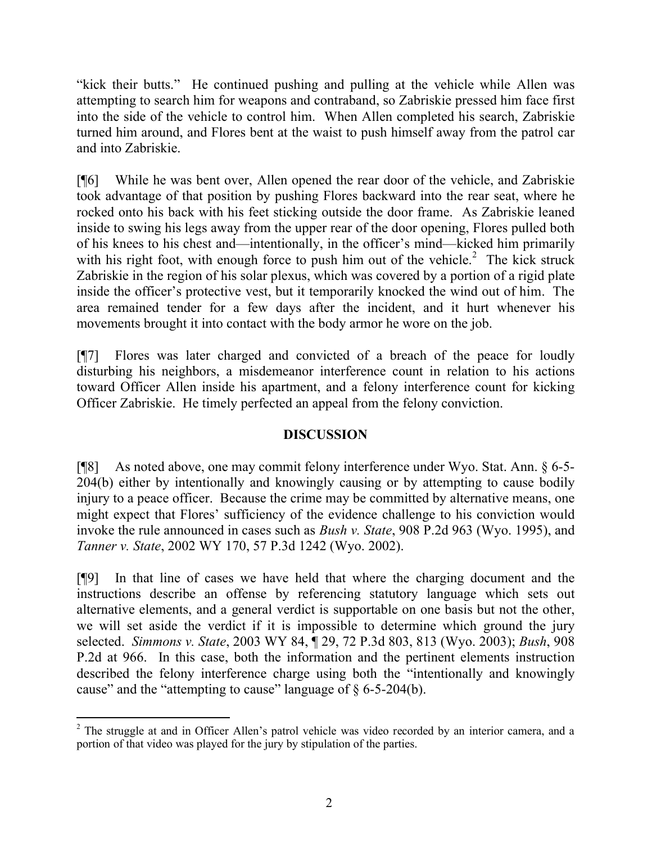"kick their butts." He continued pushing and pulling at the vehicle while Allen was attempting to search him for weapons and contraband, so Zabriskie pressed him face first into the side of the vehicle to control him. When Allen completed his search, Zabriskie turned him around, and Flores bent at the waist to push himself away from the patrol car and into Zabriskie.

[¶6] While he was bent over, Allen opened the rear door of the vehicle, and Zabriskie took advantage of that position by pushing Flores backward into the rear seat, where he rocked onto his back with his feet sticking outside the door frame. As Zabriskie leaned inside to swing his legs away from the upper rear of the door opening, Flores pulled both of his knees to his chest and—intentionally, in the officer's mind—kicked him primarily with his right foot, with enough force to push him out of the vehicle.<sup>2</sup> The kick struck Zabriskie in the region of his solar plexus, which was covered by a portion of a rigid plate inside the officer's protective vest, but it temporarily knocked the wind out of him. The area remained tender for a few days after the incident, and it hurt whenever his movements brought it into contact with the body armor he wore on the job.

[¶7] Flores was later charged and convicted of a breach of the peace for loudly disturbing his neighbors, a misdemeanor interference count in relation to his actions toward Officer Allen inside his apartment, and a felony interference count for kicking Officer Zabriskie. He timely perfected an appeal from the felony conviction.

# **DISCUSSION**

[¶8] As noted above, one may commit felony interference under Wyo. Stat. Ann. § 6-5- 204(b) either by intentionally and knowingly causing or by attempting to cause bodily injury to a peace officer. Because the crime may be committed by alternative means, one might expect that Flores' sufficiency of the evidence challenge to his conviction would invoke the rule announced in cases such as *Bush v. State*, 908 P.2d 963 (Wyo. 1995), and *Tanner v. State*, 2002 WY 170, 57 P.3d 1242 (Wyo. 2002).

[¶9] In that line of cases we have held that where the charging document and the instructions describe an offense by referencing statutory language which sets out alternative elements, and a general verdict is supportable on one basis but not the other, we will set aside the verdict if it is impossible to determine which ground the jury selected. *Simmons v. State*, 2003 WY 84, ¶ 29, 72 P.3d 803, 813 (Wyo. 2003); *Bush*, 908 P.2d at 966. In this case, both the information and the pertinent elements instruction described the felony interference charge using both the "intentionally and knowingly cause" and the "attempting to cause" language of § 6-5-204(b).

l  $2$  The struggle at and in Officer Allen's patrol vehicle was video recorded by an interior camera, and a portion of that video was played for the jury by stipulation of the parties.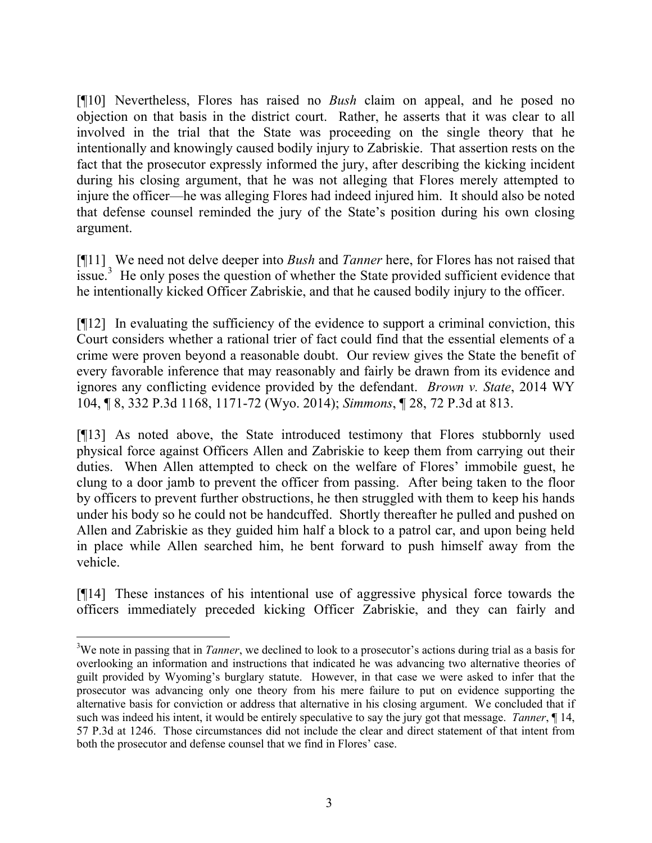[¶10] Nevertheless, Flores has raised no *Bush* claim on appeal, and he posed no objection on that basis in the district court. Rather, he asserts that it was clear to all involved in the trial that the State was proceeding on the single theory that he intentionally and knowingly caused bodily injury to Zabriskie. That assertion rests on the fact that the prosecutor expressly informed the jury, after describing the kicking incident during his closing argument, that he was not alleging that Flores merely attempted to injure the officer—he was alleging Flores had indeed injured him. It should also be noted that defense counsel reminded the jury of the State's position during his own closing argument.

[¶11] We need not delve deeper into *Bush* and *Tanner* here, for Flores has not raised that  $\frac{1}{2}$  issue.<sup>3</sup> He only poses the question of whether the State provided sufficient evidence that he intentionally kicked Officer Zabriskie, and that he caused bodily injury to the officer.

[¶12] In evaluating the sufficiency of the evidence to support a criminal conviction, this Court considers whether a rational trier of fact could find that the essential elements of a crime were proven beyond a reasonable doubt. Our review gives the State the benefit of every favorable inference that may reasonably and fairly be drawn from its evidence and ignores any conflicting evidence provided by the defendant. *Brown v. State*, 2014 WY 104, ¶ 8, 332 P.3d 1168, 1171-72 (Wyo. 2014); *Simmons*, ¶ 28, 72 P.3d at 813.

[¶13] As noted above, the State introduced testimony that Flores stubbornly used physical force against Officers Allen and Zabriskie to keep them from carrying out their duties. When Allen attempted to check on the welfare of Flores' immobile guest, he clung to a door jamb to prevent the officer from passing. After being taken to the floor by officers to prevent further obstructions, he then struggled with them to keep his hands under his body so he could not be handcuffed. Shortly thereafter he pulled and pushed on Allen and Zabriskie as they guided him half a block to a patrol car, and upon being held in place while Allen searched him, he bent forward to push himself away from the vehicle.

[¶14] These instances of his intentional use of aggressive physical force towards the officers immediately preceded kicking Officer Zabriskie, and they can fairly and

l

<sup>&</sup>lt;sup>3</sup>We note in passing that in *Tanner*, we declined to look to a prosecutor's actions during trial as a basis for overlooking an information and instructions that indicated he was advancing two alternative theories of guilt provided by Wyoming's burglary statute. However, in that case we were asked to infer that the prosecutor was advancing only one theory from his mere failure to put on evidence supporting the alternative basis for conviction or address that alternative in his closing argument. We concluded that if such was indeed his intent, it would be entirely speculative to say the jury got that message. *Tanner*, ¶ 14, 57 P.3d at 1246. Those circumstances did not include the clear and direct statement of that intent from both the prosecutor and defense counsel that we find in Flores' case.